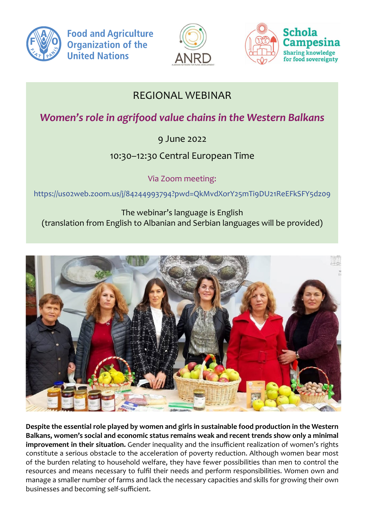





## REGIONAL WEBINAR

*Women's role in agrifood value chains in the Western Balkans* 

9 June 2022

10:30–12:30 Central European Time

Via Zoom meeting:

https://uso2web.zoom.us/j/84244993794?pwd=QkMvdXorY25mTi9DU21ReEFkSFY5dzo9 person net

The webinar's language is English (translation from English to Albanian and Serbian languages will be provided)



**Despite the essential role played by women and girls in sustainable food production in the Western Balkans, women's social and economic status remains weak and recent trends show only a minimal improvement in their situation.** Gender inequality and the insufficient realization of women's rights constitute a serious obstacle to the acceleration of poverty reduction. Although women bear most of the burden relating to household welfare, they have fewer possibilities than men to control the resources and means necessary to fulfil their needs and perform responsibilities. Women own and manage a smaller number of farms and lack the necessary capacities and skills for growing their own businesses and becoming self-sufficient.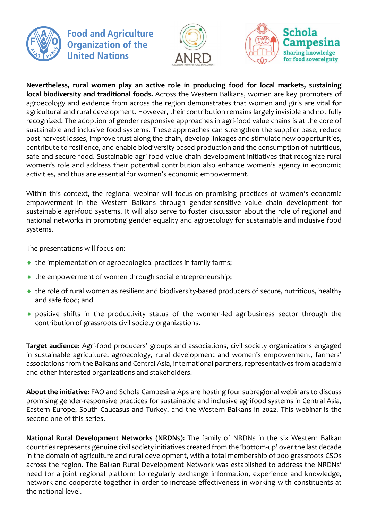

**Food and Agriculture Organization of the United Nations** 





**Nevertheless, rural women play an active role in producing food for local markets, sustaining local biodiversity and traditional foods.** Across the Western Balkans, women are key promoters of agroecology and evidence from across the region demonstrates that women and girls are vital for agricultural and rural development. However, their contribution remains largely invisible and not fully recognized. The adoption of gender responsive approaches in agri-food value chains is at the core of sustainable and inclusive food systems. These approaches can strengthen the supplier base, reduce post-harvest losses, improve trust along the chain, develop linkages and stimulate new opportunities, contribute to resilience, and enable biodiversity based production and the consumption of nutritious, safe and secure food. Sustainable agri-food value chain development initiatives that recognize rural women's role and address their potential contribution also enhance women's agency in economic activities, and thus are essential for women's economic empowerment.

Within this context, the regional webinar will focus on promising practices of women's economic within this context, the regional webman will focus on promising practices or women's economic<br>empowerment in the Western Balkans through gender-sensitive value chain development for sustainable agri-food systems. It will also serve to foster discussion about the role of regional and national networks in promoting gender equality and agroecology for sustainable and inclusive food<br>systems systems.

The presentations will focus on:

- ♦ the implementation of agroecological practices in family farms;
- ♦ the empowerment of women through social entrepreneurship;
- $\blacklozenge$  the role of rural women as resilient and biodiversity-based producers of secure, nutritious, healthy and safe food; and
- positive shifts in the productivity status of the women-led agribusiness sector through the contribution of grassroots civil society organizations.

**Target audience:** Agri-food producers' groups and associations, civil society organizations engaged in sustainable agriculture, agroecology, rural development and women's empowerment, farmers' associations from the Balkans and Central Asia, international partners, representatives from academia and other interested organizations and stakeholders.

**About the initiative:** FAO and Schola Campesina Aps are hosting four subregional webinars to discuss promising gender-responsive practices for sustainable and inclusive agrifood systems in Central Asia, Eastern Europe, South Caucasus and Turkey, and the Western Balkans in 2022. This webinar is the second one of this series.

**National Rural Development Networks (NRDNs):** The family of NRDNs in the six Western Balkan countries represents genuine civil society initiatives created from the 'bottom-up' over the last decade in the domain of agriculture and rural development, with a total membership of 200 grassroots CSOs across the region. The Balkan Rural Development Network was established to address the NRDNs' need for a joint regional platform to regularly exchange information, experience and knowledge, network and cooperate together in order to increase effectiveness in working with constituents at the national level.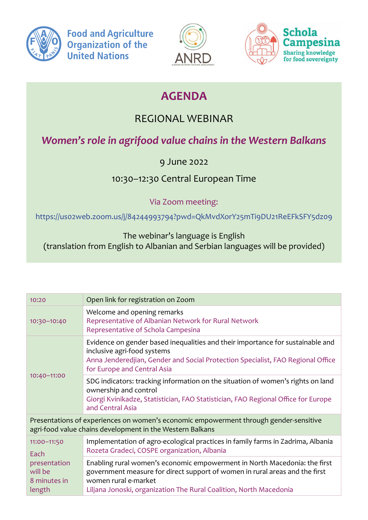

**Food and Agriculture Organization of the United Nations** 





## **AGENDA**

## REGIONAL WEBINAR

## *Women's role in agrifood value chains in the Western Balkans*

9 June 2022

10:30–12:30 Central European Time

Via Zoom meeting:

https://uso2web.zoom.us/j/84244993794?pwd=QkMvdXorY25mTi9DU21ReEFkSFY5dzo9

The webinar's language is English (translation from English to Albanian and Serbian languages will be provided) преодолении кризисных ситуаций от ОФ «Агентство Инициатив

| 10:20                                                                    | Open link for registration on Zoom                                                                                                                                                                                                                     |
|--------------------------------------------------------------------------|--------------------------------------------------------------------------------------------------------------------------------------------------------------------------------------------------------------------------------------------------------|
| 10:30-10:40                                                              | Welcome and opening remarks<br>Representative of Albanian Network for Rural Network<br>Representative of Schola Campesina                                                                                                                              |
| $10:40 - 11:00$                                                          | Evidence on gender based inequalities and their importance for sustainable and<br>inclusive agri-food systems<br>Anna Jenderedjian, Gender and Social Protection Specialist, FAO Regional Office<br>for Europe and Central Asia                        |
|                                                                          | SDG indicators: tracking information on the situation of women's rights on land<br>ownership and control<br>Giorgi Kvinikadze, Statistician, FAO Statistician, FAO Regional Office for Europe<br>and Central Asia                                      |
|                                                                          | Presentations of experiences on women's economic empowerment through gender-sensitive<br>agri-food value chains development in the Western Balkans                                                                                                     |
| 11:00-11:50<br>Each<br>presentation<br>will be<br>8 minutes in<br>length | Implementation of agro-ecological practices in family farms in Zadrima, Albania<br>Rozeta Gradeci, COSPE organization, Albania                                                                                                                         |
|                                                                          | Enabling rural women's economic empowerment in North Macedonia: the first<br>government measure for direct support of women in rural areas and the first<br>women rural e-market<br>Liljana Jonoski, organization The Rural Coalition, North Macedonia |